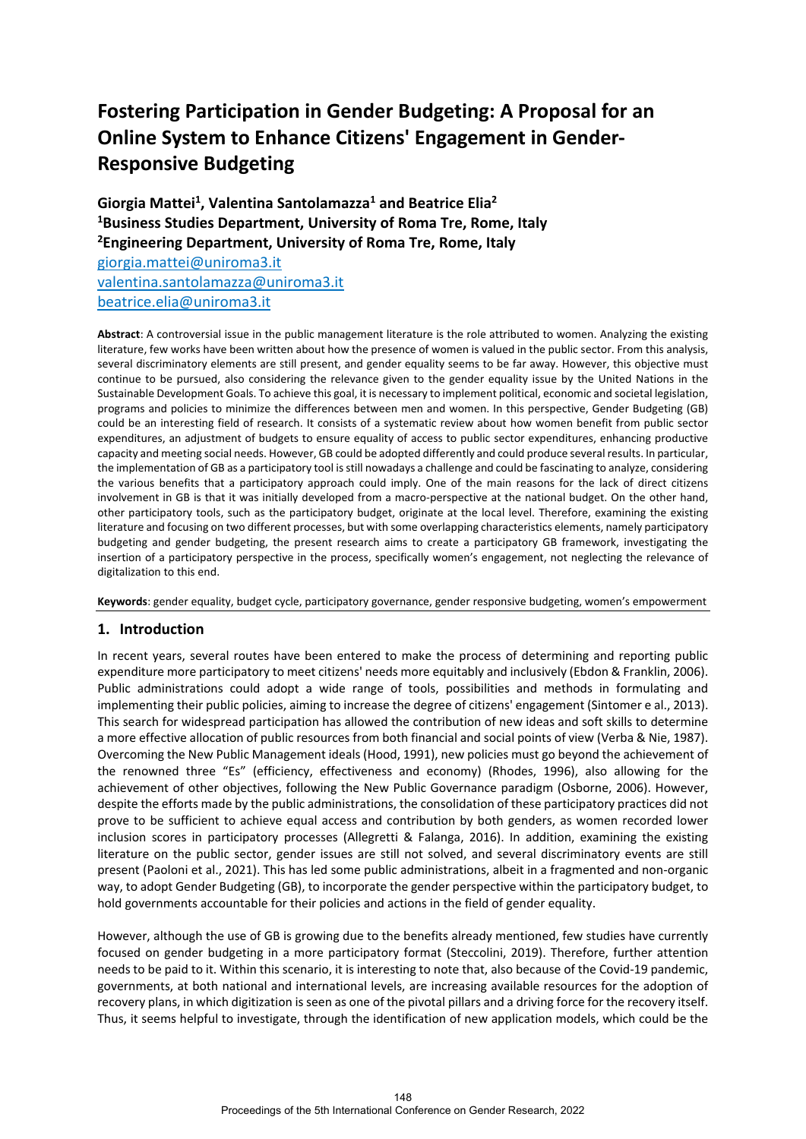# **Fostering Participation in Gender Budgeting: A Proposal for an Online System to Enhance Citizens' Engagement in Gender-Responsive Budgeting**

Giorgia Mattei<sup>1</sup>, Valentina Santolamazza<sup>1</sup> and Beatrice Elia<sup>2</sup> **1Business Studies Department, University of Roma Tre, Rome, Italy 2 Engineering Department, University of Roma Tre, Rome, Italy**

[giorgia.mattei@uniroma3.it](mailto:giorgia.mattei@uniroma3.it) [valentina.santolamazza@uniroma3.it](mailto:valentina.santolamazza@uniroma3.it) [beatrice.elia@uniroma3.it](mailto:beatrice.elia@uniroma3.it)

**Abstract**: A controversial issue in the public management literature is the role attributed to women. Analyzing the existing literature, few works have been written about how the presence of women is valued in the public sector. From this analysis, several discriminatory elements are still present, and gender equality seems to be far away. However, this objective must continue to be pursued, also considering the relevance given to the gender equality issue by the United Nations in the Sustainable Development Goals. To achieve this goal, it is necessary to implement political, economic and societal legislation, programs and policies to minimize the differences between men and women. In this perspective, Gender Budgeting (GB) could be an interesting field of research. It consists of a systematic review about how women benefit from public sector expenditures, an adjustment of budgets to ensure equality of access to public sector expenditures, enhancing productive capacity and meeting social needs. However, GB could be adopted differently and could produce several results. In particular, the implementation of GB as a participatory tool is still nowadays a challenge and could be fascinating to analyze, considering the various benefits that a participatory approach could imply. One of the main reasons for the lack of direct citizens involvement in GB is that it was initially developed from a macro-perspective at the national budget. On the other hand, other participatory tools, such as the participatory budget, originate at the local level. Therefore, examining the existing literature and focusing on two different processes, but with some overlapping characteristics elements, namely participatory budgeting and gender budgeting, the present research aims to create a participatory GB framework, investigating the insertion of a participatory perspective in the process, specifically women's engagement, not neglecting the relevance of digitalization to this end.

**Keywords**: gender equality, budget cycle, participatory governance, gender responsive budgeting, women's empowerment

## **1. Introduction**

In recent years, several routes have been entered to make the process of determining and reporting public expenditure more participatory to meet citizens' needs more equitably and inclusively (Ebdon & Franklin, 2006). Public administrations could adopt a wide range of tools, possibilities and methods in formulating and implementing their public policies, aiming to increase the degree of citizens' engagement (Sintomer e al., 2013). This search for widespread participation has allowed the contribution of new ideas and soft skills to determine a more effective allocation of public resources from both financial and social points of view (Verba & Nie, 1987). Overcoming the New Public Management ideals (Hood, 1991), new policies must go beyond the achievement of the renowned three "Es" (efficiency, effectiveness and economy) (Rhodes, 1996), also allowing for the achievement of other objectives, following the New Public Governance paradigm (Osborne, 2006). However, despite the efforts made by the public administrations, the consolidation of these participatory practices did not prove to be sufficient to achieve equal access and contribution by both genders, as women recorded lower inclusion scores in participatory processes (Allegretti & Falanga, 2016). In addition, examining the existing literature on the public sector, gender issues are still not solved, and several discriminatory events are still present (Paoloni et al., 2021). This has led some public administrations, albeit in a fragmented and non-organic way, to adopt Gender Budgeting (GB), to incorporate the gender perspective within the participatory budget, to hold governments accountable for their policies and actions in the field of gender equality.

However, although the use of GB is growing due to the benefits already mentioned, few studies have currently focused on gender budgeting in a more participatory format (Steccolini, 2019). Therefore, further attention needs to be paid to it. Within this scenario, it is interesting to note that, also because of the Covid-19 pandemic, governments, at both national and international levels, are increasing available resources for the adoption of recovery plans, in which digitization is seen as one of the pivotal pillars and a driving force for the recovery itself. Thus, it seems helpful to investigate, through the identification of new application models, which could be the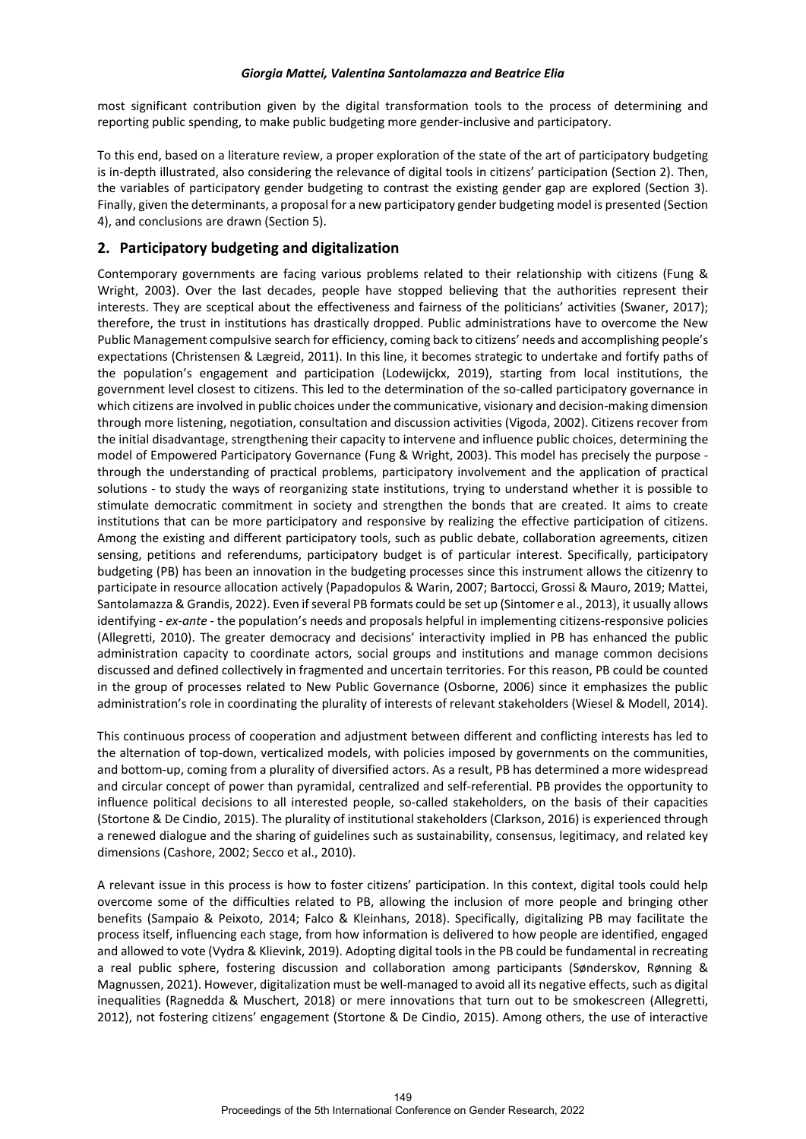most significant contribution given by the digital transformation tools to the process of determining and reporting public spending, to make public budgeting more gender-inclusive and participatory.

To this end, based on a literature review, a proper exploration of the state of the art of participatory budgeting is in-depth illustrated, also considering the relevance of digital tools in citizens' participation (Section 2). Then, the variables of participatory gender budgeting to contrast the existing gender gap are explored (Section 3). Finally, given the determinants, a proposal for a new participatory gender budgeting model is presented (Section 4), and conclusions are drawn (Section 5).

# **2. Participatory budgeting and digitalization**

Contemporary governments are facing various problems related to their relationship with citizens (Fung & Wright, 2003). Over the last decades, people have stopped believing that the authorities represent their interests. They are sceptical about the effectiveness and fairness of the politicians' activities (Swaner, 2017); therefore, the trust in institutions has drastically dropped. Public administrations have to overcome the New Public Management compulsive search for efficiency, coming back to citizens' needs and accomplishing people's expectations (Christensen & Lægreid, 2011). In this line, it becomes strategic to undertake and fortify paths of the population's engagement and participation (Lodewijckx, 2019), starting from local institutions, the government level closest to citizens. This led to the determination of the so-called participatory governance in which citizens are involved in public choices under the communicative, visionary and decision-making dimension through more listening, negotiation, consultation and discussion activities (Vigoda, 2002). Citizens recover from the initial disadvantage, strengthening their capacity to intervene and influence public choices, determining the model of Empowered Participatory Governance (Fung & Wright, 2003). This model has precisely the purpose through the understanding of practical problems, participatory involvement and the application of practical solutions - to study the ways of reorganizing state institutions, trying to understand whether it is possible to stimulate democratic commitment in society and strengthen the bonds that are created. It aims to create institutions that can be more participatory and responsive by realizing the effective participation of citizens. Among the existing and different participatory tools, such as public debate, collaboration agreements, citizen sensing, petitions and referendums, participatory budget is of particular interest. Specifically, participatory budgeting (PB) has been an innovation in the budgeting processes since this instrument allows the citizenry to participate in resource allocation actively (Papadopulos & Warin, 2007; Bartocci, Grossi & Mauro, 2019; Mattei, Santolamazza & Grandis, 2022). Even if several PB formats could be set up (Sintomer e al., 2013), it usually allows identifying - *ex-ante* - the population's needs and proposals helpful in implementing citizens-responsive policies (Allegretti, 2010). The greater democracy and decisions' interactivity implied in PB has enhanced the public administration capacity to coordinate actors, social groups and institutions and manage common decisions discussed and defined collectively in fragmented and uncertain territories. For this reason, PB could be counted in the group of processes related to New Public Governance (Osborne, 2006) since it emphasizes the public administration's role in coordinating the plurality of interests of relevant stakeholders (Wiesel & Modell, 2014).

This continuous process of cooperation and adjustment between different and conflicting interests has led to the alternation of top-down, verticalized models, with policies imposed by governments on the communities, and bottom-up, coming from a plurality of diversified actors. As a result, PB has determined a more widespread and circular concept of power than pyramidal, centralized and self-referential. PB provides the opportunity to influence political decisions to all interested people, so-called stakeholders, on the basis of their capacities (Stortone & De Cindio, 2015). The plurality of institutional stakeholders (Clarkson, 2016) is experienced through a renewed dialogue and the sharing of guidelines such as sustainability, consensus, legitimacy, and related key dimensions (Cashore, 2002; Secco et al., 2010).

A relevant issue in this process is how to foster citizens' participation. In this context, digital tools could help overcome some of the difficulties related to PB, allowing the inclusion of more people and bringing other benefits (Sampaio & Peixoto, 2014; Falco & Kleinhans, 2018). Specifically, digitalizing PB may facilitate the process itself, influencing each stage, from how information is delivered to how people are identified, engaged and allowed to vote (Vydra & Klievink, 2019). Adopting digital tools in the PB could be fundamental in recreating a real public sphere, fostering discussion and collaboration among participants (Sønderskov, Rønning & Magnussen, 2021). However, digitalization must be well-managed to avoid all its negative effects, such as digital inequalities (Ragnedda & Muschert, 2018) or mere innovations that turn out to be smokescreen (Allegretti, 2012), not fostering citizens' engagement (Stortone & De Cindio, 2015). Among others, the use of interactive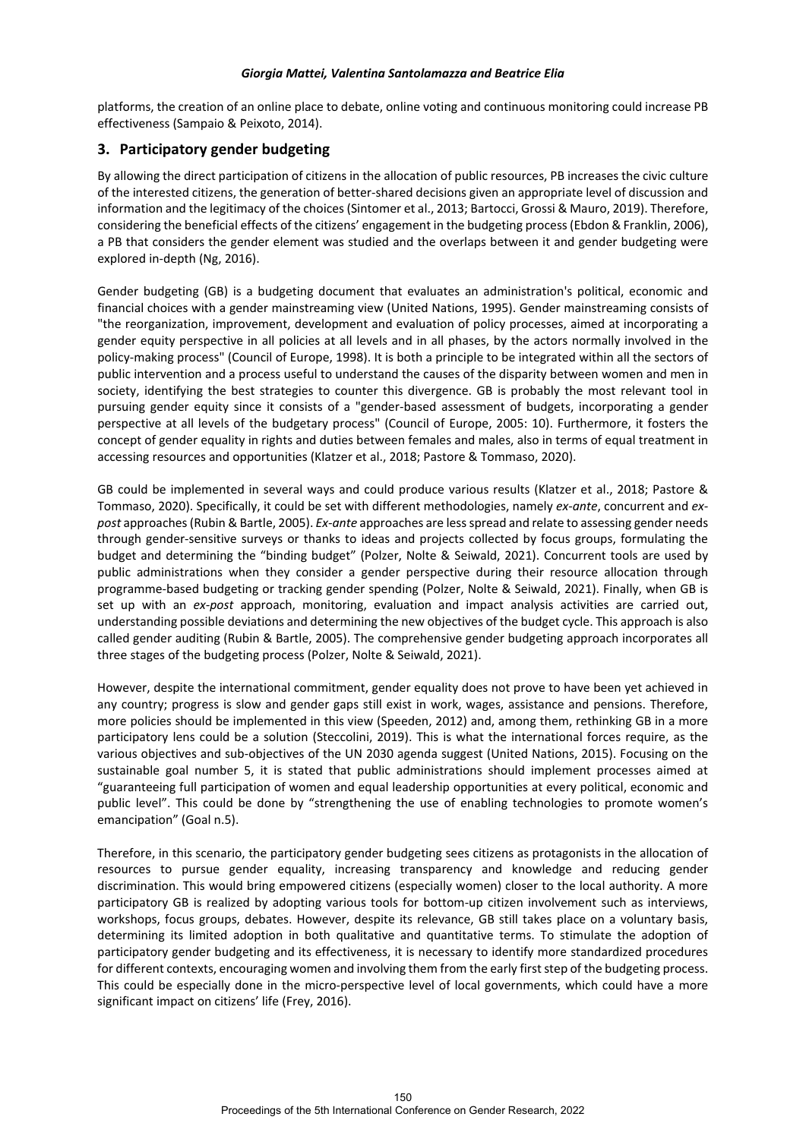platforms, the creation of an online place to debate, online voting and continuous monitoring could increase PB effectiveness (Sampaio & Peixoto, 2014).

# **3. Participatory gender budgeting**

By allowing the direct participation of citizens in the allocation of public resources, PB increases the civic culture of the interested citizens, the generation of better-shared decisions given an appropriate level of discussion and information and the legitimacy of the choices (Sintomer et al., 2013; Bartocci, Grossi & Mauro, 2019). Therefore, considering the beneficial effects of the citizens' engagement in the budgeting process (Ebdon & Franklin, 2006), a PB that considers the gender element was studied and the overlaps between it and gender budgeting were explored in-depth (Ng, 2016).

Gender budgeting (GB) is a budgeting document that evaluates an administration's political, economic and financial choices with a gender mainstreaming view (United Nations, 1995). Gender mainstreaming consists of "the reorganization, improvement, development and evaluation of policy processes, aimed at incorporating a gender equity perspective in all policies at all levels and in all phases, by the actors normally involved in the policy-making process" (Council of Europe, 1998). It is both a principle to be integrated within all the sectors of public intervention and a process useful to understand the causes of the disparity between women and men in society, identifying the best strategies to counter this divergence. GB is probably the most relevant tool in pursuing gender equity since it consists of a "gender-based assessment of budgets, incorporating a gender perspective at all levels of the budgetary process" (Council of Europe, 2005: 10). Furthermore, it fosters the concept of gender equality in rights and duties between females and males, also in terms of equal treatment in accessing resources and opportunities (Klatzer et al., 2018; Pastore & Tommaso, 2020).

GB could be implemented in several ways and could produce various results (Klatzer et al., 2018; Pastore & Tommaso, 2020). Specifically, it could be set with different methodologies, namely *ex-ante*, concurrent and *expost* approaches (Rubin & Bartle, 2005). *Ex-ante* approaches are lessspread and relate to assessing gender needs through gender-sensitive surveys or thanks to ideas and projects collected by focus groups, formulating the budget and determining the "binding budget" (Polzer, Nolte & Seiwald, 2021). Concurrent tools are used by public administrations when they consider a gender perspective during their resource allocation through programme-based budgeting or tracking gender spending (Polzer, Nolte & Seiwald, 2021). Finally, when GB is set up with an *ex-post* approach, monitoring, evaluation and impact analysis activities are carried out, understanding possible deviations and determining the new objectives of the budget cycle. This approach is also called gender auditing (Rubin & Bartle, 2005). The comprehensive gender budgeting approach incorporates all three stages of the budgeting process (Polzer, Nolte & Seiwald, 2021).

However, despite the international commitment, gender equality does not prove to have been yet achieved in any country; progress is slow and gender gaps still exist in work, wages, assistance and pensions. Therefore, more policies should be implemented in this view (Speeden, 2012) and, among them, rethinking GB in a more participatory lens could be a solution (Steccolini, 2019). This is what the international forces require, as the various objectives and sub-objectives of the UN 2030 agenda suggest (United Nations, 2015). Focusing on the sustainable goal number 5, it is stated that public administrations should implement processes aimed at "guaranteeing full participation of women and equal leadership opportunities at every political, economic and public level". This could be done by "strengthening the use of enabling technologies to promote women's emancipation" (Goal n.5).

Therefore, in this scenario, the participatory gender budgeting sees citizens as protagonists in the allocation of resources to pursue gender equality, increasing transparency and knowledge and reducing gender discrimination. This would bring empowered citizens (especially women) closer to the local authority. A more participatory GB is realized by adopting various tools for bottom-up citizen involvement such as interviews, workshops, focus groups, debates. However, despite its relevance, GB still takes place on a voluntary basis, determining its limited adoption in both qualitative and quantitative terms. To stimulate the adoption of participatory gender budgeting and its effectiveness, it is necessary to identify more standardized procedures for different contexts, encouraging women and involving them from the early first step of the budgeting process. This could be especially done in the micro-perspective level of local governments, which could have a more significant impact on citizens' life (Frey, 2016).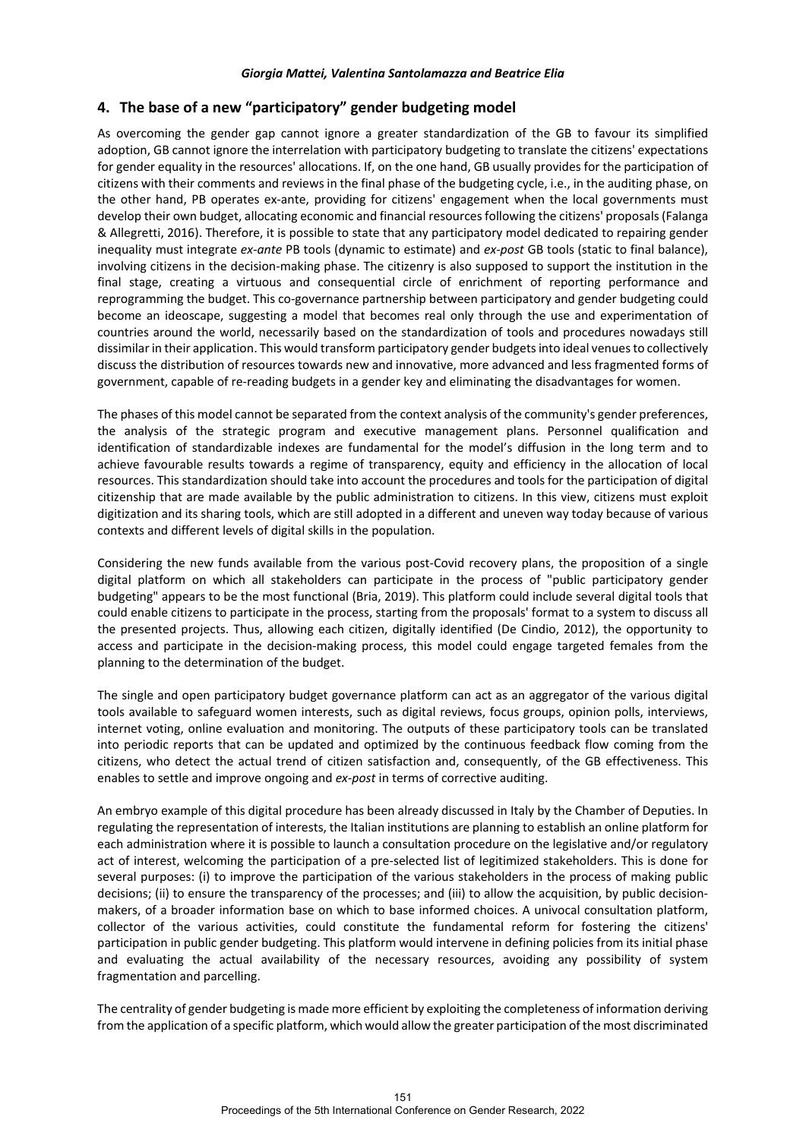## **4. The base of a new "participatory" gender budgeting model**

As overcoming the gender gap cannot ignore a greater standardization of the GB to favour its simplified adoption, GB cannot ignore the interrelation with participatory budgeting to translate the citizens' expectations for gender equality in the resources' allocations. If, on the one hand, GB usually provides for the participation of citizens with their comments and reviews in the final phase of the budgeting cycle, i.e., in the auditing phase, on the other hand, PB operates ex-ante, providing for citizens' engagement when the local governments must develop their own budget, allocating economic and financial resources following the citizens' proposals (Falanga & Allegretti, 2016). Therefore, it is possible to state that any participatory model dedicated to repairing gender inequality must integrate *ex-ante* PB tools (dynamic to estimate) and *ex-post* GB tools (static to final balance), involving citizens in the decision-making phase. The citizenry is also supposed to support the institution in the final stage, creating a virtuous and consequential circle of enrichment of reporting performance and reprogramming the budget. This co-governance partnership between participatory and gender budgeting could become an ideoscape, suggesting a model that becomes real only through the use and experimentation of countries around the world, necessarily based on the standardization of tools and procedures nowadays still dissimilar in their application. This would transform participatory gender budgets into ideal venues to collectively discuss the distribution of resources towards new and innovative, more advanced and less fragmented forms of government, capable of re-reading budgets in a gender key and eliminating the disadvantages for women.

The phases of this model cannot be separated from the context analysis of the community's gender preferences, the analysis of the strategic program and executive management plans. Personnel qualification and identification of standardizable indexes are fundamental for the model's diffusion in the long term and to achieve favourable results towards a regime of transparency, equity and efficiency in the allocation of local resources. This standardization should take into account the procedures and tools for the participation of digital citizenship that are made available by the public administration to citizens. In this view, citizens must exploit digitization and its sharing tools, which are still adopted in a different and uneven way today because of various contexts and different levels of digital skills in the population.

Considering the new funds available from the various post-Covid recovery plans, the proposition of a single digital platform on which all stakeholders can participate in the process of "public participatory gender budgeting" appears to be the most functional (Bria, 2019). This platform could include several digital tools that could enable citizens to participate in the process, starting from the proposals' format to a system to discuss all the presented projects. Thus, allowing each citizen, digitally identified (De Cindio, 2012), the opportunity to access and participate in the decision-making process, this model could engage targeted females from the planning to the determination of the budget.

The single and open participatory budget governance platform can act as an aggregator of the various digital tools available to safeguard women interests, such as digital reviews, focus groups, opinion polls, interviews, internet voting, online evaluation and monitoring. The outputs of these participatory tools can be translated into periodic reports that can be updated and optimized by the continuous feedback flow coming from the citizens, who detect the actual trend of citizen satisfaction and, consequently, of the GB effectiveness. This enables to settle and improve ongoing and *ex-post* in terms of corrective auditing.

An embryo example of this digital procedure has been already discussed in Italy by the Chamber of Deputies. In regulating the representation of interests, the Italian institutions are planning to establish an online platform for each administration where it is possible to launch a consultation procedure on the legislative and/or regulatory act of interest, welcoming the participation of a pre-selected list of legitimized stakeholders. This is done for several purposes: (i) to improve the participation of the various stakeholders in the process of making public decisions; (ii) to ensure the transparency of the processes; and (iii) to allow the acquisition, by public decisionmakers, of a broader information base on which to base informed choices. A univocal consultation platform, collector of the various activities, could constitute the fundamental reform for fostering the citizens' participation in public gender budgeting. This platform would intervene in defining policies from its initial phase and evaluating the actual availability of the necessary resources, avoiding any possibility of system fragmentation and parcelling.

The centrality of gender budgeting is made more efficient by exploiting the completeness of information deriving from the application of a specific platform, which would allow the greater participation of the most discriminated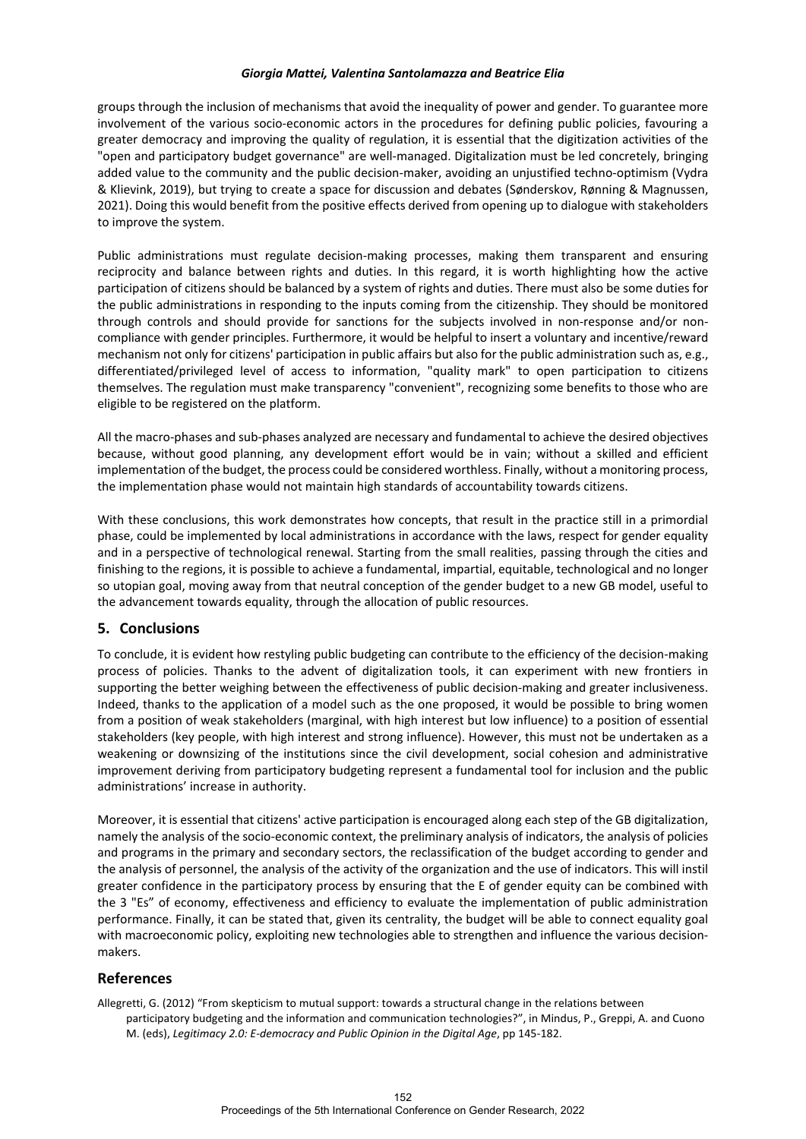groups through the inclusion of mechanisms that avoid the inequality of power and gender. To guarantee more involvement of the various socio-economic actors in the procedures for defining public policies, favouring a greater democracy and improving the quality of regulation, it is essential that the digitization activities of the "open and participatory budget governance" are well-managed. Digitalization must be led concretely, bringing added value to the community and the public decision-maker, avoiding an unjustified techno-optimism (Vydra & Klievink, 2019), but trying to create a space for discussion and debates (Sønderskov, Rønning & Magnussen, 2021). Doing this would benefit from the positive effects derived from opening up to dialogue with stakeholders to improve the system.

Public administrations must regulate decision-making processes, making them transparent and ensuring reciprocity and balance between rights and duties. In this regard, it is worth highlighting how the active participation of citizens should be balanced by a system of rights and duties. There must also be some duties for the public administrations in responding to the inputs coming from the citizenship. They should be monitored through controls and should provide for sanctions for the subjects involved in non-response and/or noncompliance with gender principles. Furthermore, it would be helpful to insert a voluntary and incentive/reward mechanism not only for citizens' participation in public affairs but also for the public administration such as, e.g., differentiated/privileged level of access to information, "quality mark" to open participation to citizens themselves. The regulation must make transparency "convenient", recognizing some benefits to those who are eligible to be registered on the platform.

All the macro-phases and sub-phases analyzed are necessary and fundamental to achieve the desired objectives because, without good planning, any development effort would be in vain; without a skilled and efficient implementation of the budget, the process could be considered worthless. Finally, without a monitoring process, the implementation phase would not maintain high standards of accountability towards citizens.

With these conclusions, this work demonstrates how concepts, that result in the practice still in a primordial phase, could be implemented by local administrations in accordance with the laws, respect for gender equality and in a perspective of technological renewal. Starting from the small realities, passing through the cities and finishing to the regions, it is possible to achieve a fundamental, impartial, equitable, technological and no longer so utopian goal, moving away from that neutral conception of the gender budget to a new GB model, useful to the advancement towards equality, through the allocation of public resources.

## **5. Conclusions**

To conclude, it is evident how restyling public budgeting can contribute to the efficiency of the decision-making process of policies. Thanks to the advent of digitalization tools, it can experiment with new frontiers in supporting the better weighing between the effectiveness of public decision-making and greater inclusiveness. Indeed, thanks to the application of a model such as the one proposed, it would be possible to bring women from a position of weak stakeholders (marginal, with high interest but low influence) to a position of essential stakeholders (key people, with high interest and strong influence). However, this must not be undertaken as a weakening or downsizing of the institutions since the civil development, social cohesion and administrative improvement deriving from participatory budgeting represent a fundamental tool for inclusion and the public administrations' increase in authority.

Moreover, it is essential that citizens' active participation is encouraged along each step of the GB digitalization, namely the analysis of the socio-economic context, the preliminary analysis of indicators, the analysis of policies and programs in the primary and secondary sectors, the reclassification of the budget according to gender and the analysis of personnel, the analysis of the activity of the organization and the use of indicators. This will instil greater confidence in the participatory process by ensuring that the E of gender equity can be combined with the 3 "Es" of economy, effectiveness and efficiency to evaluate the implementation of public administration performance. Finally, it can be stated that, given its centrality, the budget will be able to connect equality goal with macroeconomic policy, exploiting new technologies able to strengthen and influence the various decisionmakers.

## **References**

Allegretti, G. (2012) "From skepticism to mutual support: towards a structural change in the relations between participatory budgeting and the information and communication technologies?", in Mindus, P., Greppi, A. and Cuono M. (eds), *Legitimacy 2.0: E-democracy and Public Opinion in the Digital Age*, pp 145-182.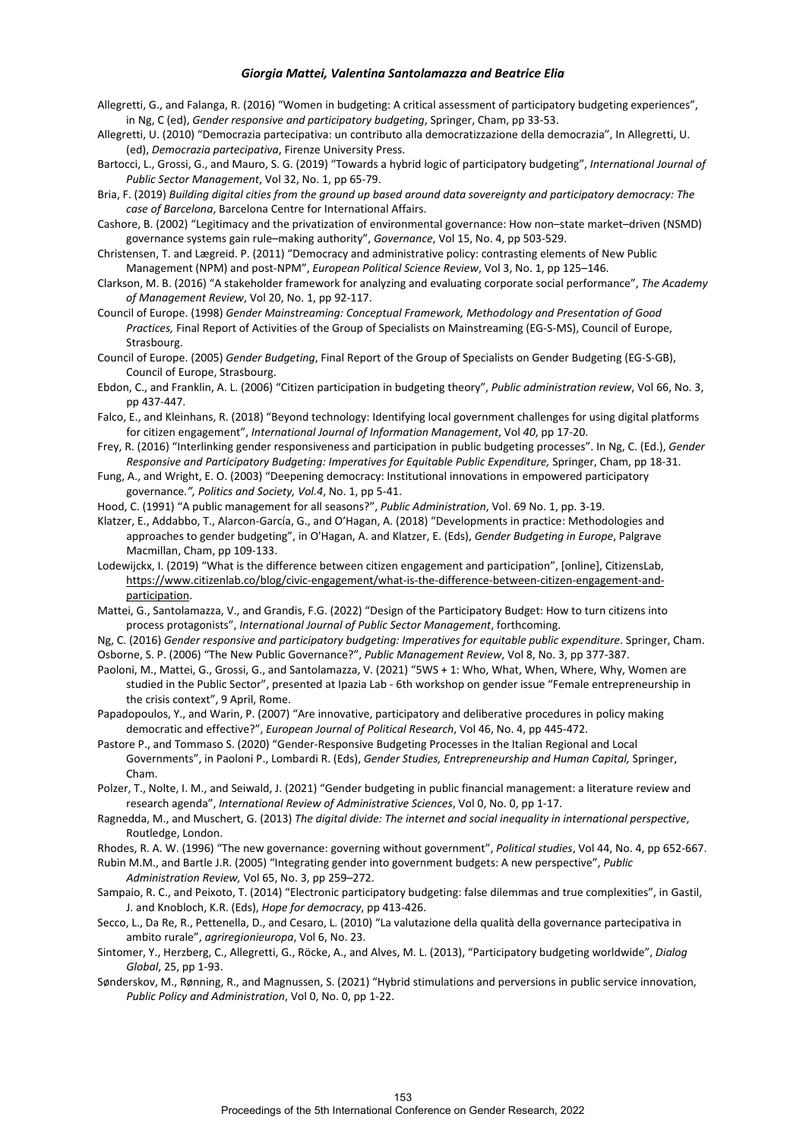- Allegretti, G., and Falanga, R. (2016) "Women in budgeting: A critical assessment of participatory budgeting experiences", in Ng, C (ed), *Gender responsive and participatory budgeting*, Springer, Cham, pp 33-53.
- Allegretti, U. (2010) "Democrazia partecipativa: un contributo alla democratizzazione della democrazia", In Allegretti, U. (ed), *Democrazia partecipativa*, Firenze University Press.
- Bartocci, L., Grossi, G., and Mauro, S. G. (2019) "Towards a hybrid logic of participatory budgeting", *International Journal of Public Sector Management*, Vol 32, No. 1, pp 65-79.
- Bria, F. (2019) *Building digital cities from the ground up based around data sovereignty and participatory democracy: The case of Barcelona*, Barcelona Centre for International Affairs.
- Cashore, B. (2002) "Legitimacy and the privatization of environmental governance: How non–state market–driven (NSMD) governance systems gain rule–making authority", *Governance*, Vol 15, No. 4, pp 503-529.
- Christensen, T. and Lægreid. P. (2011) "Democracy and administrative policy: contrasting elements of New Public Management (NPM) and post-NPM", *European Political Science Review*, Vol 3, No. 1, pp 125–146.
- Clarkson, M. B. (2016) "A stakeholder framework for analyzing and evaluating corporate social performance", *The Academy of Management Review*, Vol 20, No. 1, pp 92-117.
- Council of Europe. (1998) *Gender Mainstreaming: Conceptual Framework, Methodology and Presentation of Good Practices,* Final Report of Activities of the Group of Specialists on Mainstreaming (EG-S-MS), Council of Europe, Strasbourg.
- Council of Europe. (2005) *Gender Budgeting*, Final Report of the Group of Specialists on Gender Budgeting (EG-S-GB), Council of Europe, Strasbourg.
- Ebdon, C., and Franklin, A. L. (2006) "Citizen participation in budgeting theory", *Public administration review*, Vol 66, No. 3, pp 437-447.
- Falco, E., and Kleinhans, R. (2018) "Beyond technology: Identifying local government challenges for using digital platforms for citizen engagement", *International Journal of Information Management*, Vol *40*, pp 17-20.
- Frey, R. (2016) "Interlinking gender responsiveness and participation in public budgeting processes". In Ng, C. (Ed.), *Gender Responsive and Participatory Budgeting: Imperatives for Equitable Public Expenditure,* Springer, Cham, pp 18-31.
- Fung, A., and Wright, E. O. (2003) "Deepening democracy: Institutional innovations in empowered participatory governance*.", Politics and Society, Vol.4*, No. 1, pp 5-41.
- Hood, C. (1991) "A public management for all seasons?", *Public Administration*, Vol. 69 No. 1, pp. 3-19.
- Klatzer, E., Addabbo, T., Alarcon-García, G., and O'Hagan, A. (2018) "Developments in practice: Methodologies and approaches to gender budgeting", in O'Hagan, A. and Klatzer, E. (Eds), *Gender Budgeting in Europe*, Palgrave Macmillan, Cham, pp 109-133.
- Lodewijckx, I. (2019) "What is the difference between citizen engagement and participation", [online], CitizensLab, [https://www.citizenlab.co/blog/civic-engagement/what-is-the-difference-between-citizen-engagement-and](https://www.citizenlab.co/blog/civic-engagement/what-is-the-difference-between-citizen-engagement-and-participation)[participation.](https://www.citizenlab.co/blog/civic-engagement/what-is-the-difference-between-citizen-engagement-and-participation)
- Mattei, G., Santolamazza, V., and Grandis, F.G. (2022) "Design of the Participatory Budget: How to turn citizens into process protagonists", *International Journal of Public Sector Management*, forthcoming.
- Ng, C. (2016) *Gender responsive and participatory budgeting: Imperatives for equitable public expenditure*. Springer, Cham. Osborne, S. P. (2006) "The New Public Governance?", *Public Management Review*, Vol 8, No. 3, pp 377-387.
- Paoloni, M., Mattei, G., Grossi, G., and Santolamazza, V. (2021) "5WS + 1: Who, What, When, Where, Why, Women are studied in the Public Sector", presented at Ipazia Lab - 6th workshop on gender issue "Female entrepreneurship in the crisis context", 9 April, Rome.
- Papadopoulos, Y., and Warin, P. (2007) "Are innovative, participatory and deliberative procedures in policy making democratic and effective?", *European Journal of Political Research*, Vol 46, No. 4, pp 445-472.
- Pastore P., and Tommaso S. (2020) "Gender-Responsive Budgeting Processes in the Italian Regional and Local Governments", in Paoloni P., Lombardi R. (Eds), *Gender Studies, Entrepreneurship and Human Capital,* Springer, Cham.
- Polzer, T., Nolte, I. M., and Seiwald, J. (2021) "Gender budgeting in public financial management: a literature review and research agenda", *International Review of Administrative Sciences*, Vol 0, No. 0, pp 1-17.
- Ragnedda, M., and Muschert, G. (2013) *The digital divide: The internet and social inequality in international perspective*, Routledge, London.
- Rhodes, R. A. W. (1996) "The new governance: governing without government", *Political studies*, Vol 44, No. 4, pp 652-667.
- Rubin M.M., and Bartle J.R. (2005) "Integrating gender into government budgets: A new perspective", *Public Administration Review,* Vol 65, No. 3, pp 259–272.
- Sampaio, R. C., and Peixoto, T. (2014) "Electronic participatory budgeting: false dilemmas and true complexities", in Gastil, J. and Knobloch, K.R. (Eds), *Hope for democracy*, pp 413-426.
- Secco, L., Da Re, R., Pettenella, D., and Cesaro, L. (2010) "La valutazione della qualità della governance partecipativa in ambito rurale", *agriregionieuropa*, Vol 6, No. 23.
- Sintomer, Y., Herzberg, C., Allegretti, G., Röcke, A., and Alves, M. L. (2013), "Participatory budgeting worldwide", *Dialog Global*, 25, pp 1-93.
- Sønderskov, M., Rønning, R., and Magnussen, S. (2021) "Hybrid stimulations and perversions in public service innovation, *Public Policy and Administration*, Vol 0, No. 0, pp 1-22.